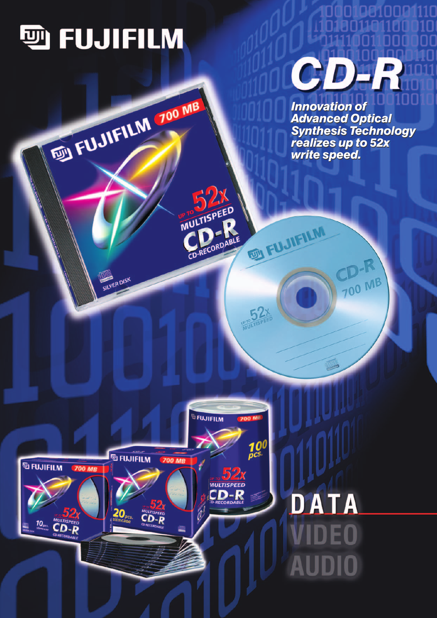

FUJIFILM 700 MB

SILVER DISK

**MULTISPEED** 

CD-RECORDABLE

EU FUJIFILM

 $-52$ 



*Innovation of Innovation of Advanced Optical Advanced Optical Synthesis Technology Synthesis Technology realizes up to 52x realizes up to 52x write speed. write speed.*

**700 MB** 



# DATA DE0 AUDIO